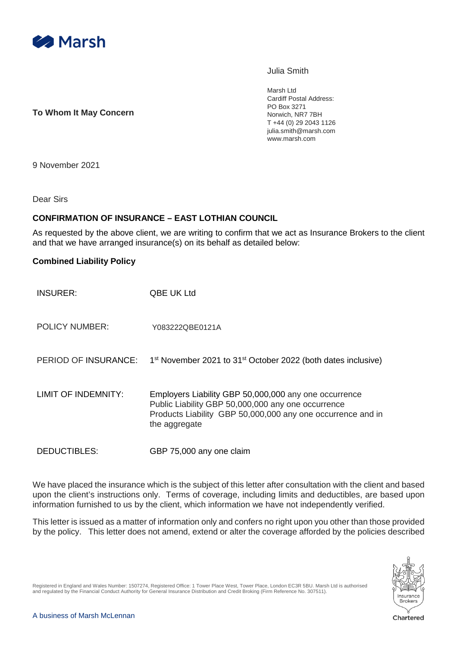

Julia Smith

**To Whom It May Concern**

Marsh Ltd Cardiff Postal Address: PO Box 3271 Norwich, NR7 7BH T +44 (0) 29 2043 1126 julia.smith@marsh.com www.marsh.com

9 November 2021

Dear Sirs

## **CONFIRMATION OF INSURANCE – EAST LOTHIAN COUNCIL**

As requested by the above client, we are writing to confirm that we act as Insurance Brokers to the client and that we have arranged insurance(s) on its behalf as detailed below:

## **Combined Liability Policy**

| <b>INSURER:</b>       | QBE UK Ltd                                                                                                                                                                                  |
|-----------------------|---------------------------------------------------------------------------------------------------------------------------------------------------------------------------------------------|
| <b>POLICY NUMBER:</b> | Y083222QBE0121A                                                                                                                                                                             |
| PERIOD OF INSURANCE:  | 1 <sup>st</sup> November 2021 to 31 <sup>st</sup> October 2022 (both dates inclusive)                                                                                                       |
| LIMIT OF INDEMNITY:   | Employers Liability GBP 50,000,000 any one occurrence<br>Public Liability GBP 50,000,000 any one occurrence<br>Products Liability GBP 50,000,000 any one occurrence and in<br>the aggregate |

DEDUCTIBLES: GBP 75,000 any one claim

We have placed the insurance which is the subject of this letter after consultation with the client and based upon the client's instructions only. Terms of coverage, including limits and deductibles, are based upon information furnished to us by the client, which information we have not independently verified.

This letter is issued as a matter of information only and confers no right upon you other than those provided by the policy. This letter does not amend, extend or alter the coverage afforded by the policies described



Registered in England and Wales Number: 1507274, Registered Office: 1 Tower Place West, Tower Place, London EC3R 5BU. Marsh Ltd is authorised and regulated by the Financial Conduct Authority for General Insurance Distribution and Credit Broking (Firm Reference No. 307511).